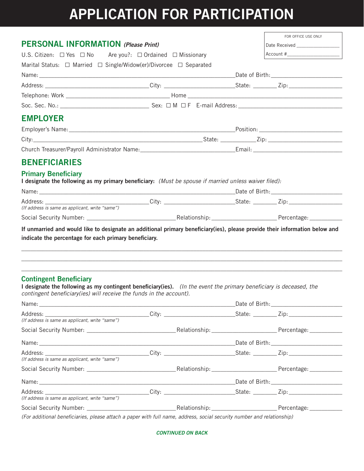# **APPLICATION FOR PARTICIPATION**

| <b>PERSONAL INFORMATION</b> (Please Print)                                                                                                                                                                                                                                                                                                                                           | Date Received __________________<br>$Account # \_$ |  |  |  |  |
|--------------------------------------------------------------------------------------------------------------------------------------------------------------------------------------------------------------------------------------------------------------------------------------------------------------------------------------------------------------------------------------|----------------------------------------------------|--|--|--|--|
| U.S. Citizen: $\Box$ Yes $\Box$ No Are you?: $\Box$ Ordained $\Box$ Missionary                                                                                                                                                                                                                                                                                                       |                                                    |  |  |  |  |
| Marital Status: □ Married □ Single/Widow(er)/Divorcee □ Separated                                                                                                                                                                                                                                                                                                                    |                                                    |  |  |  |  |
|                                                                                                                                                                                                                                                                                                                                                                                      |                                                    |  |  |  |  |
|                                                                                                                                                                                                                                                                                                                                                                                      |                                                    |  |  |  |  |
|                                                                                                                                                                                                                                                                                                                                                                                      |                                                    |  |  |  |  |
|                                                                                                                                                                                                                                                                                                                                                                                      |                                                    |  |  |  |  |
| <b>EMPLOYER</b>                                                                                                                                                                                                                                                                                                                                                                      |                                                    |  |  |  |  |
|                                                                                                                                                                                                                                                                                                                                                                                      |                                                    |  |  |  |  |
|                                                                                                                                                                                                                                                                                                                                                                                      |                                                    |  |  |  |  |
|                                                                                                                                                                                                                                                                                                                                                                                      |                                                    |  |  |  |  |
| <b>BENEFICIARIES</b>                                                                                                                                                                                                                                                                                                                                                                 |                                                    |  |  |  |  |
| <b>Primary Beneficiary</b>                                                                                                                                                                                                                                                                                                                                                           |                                                    |  |  |  |  |
| I designate the following as my primary beneficiary: (Must be spouse if married unless waiver filed):                                                                                                                                                                                                                                                                                |                                                    |  |  |  |  |
|                                                                                                                                                                                                                                                                                                                                                                                      |                                                    |  |  |  |  |
|                                                                                                                                                                                                                                                                                                                                                                                      |                                                    |  |  |  |  |
|                                                                                                                                                                                                                                                                                                                                                                                      |                                                    |  |  |  |  |
|                                                                                                                                                                                                                                                                                                                                                                                      |                                                    |  |  |  |  |
| (If address is same as applicant, write "same")<br>If unmarried and would like to designate an additional primary beneficiary(ies), please provide their information below and<br>indicate the percentage for each primary beneficiary.                                                                                                                                              |                                                    |  |  |  |  |
|                                                                                                                                                                                                                                                                                                                                                                                      |                                                    |  |  |  |  |
|                                                                                                                                                                                                                                                                                                                                                                                      |                                                    |  |  |  |  |
|                                                                                                                                                                                                                                                                                                                                                                                      |                                                    |  |  |  |  |
|                                                                                                                                                                                                                                                                                                                                                                                      |                                                    |  |  |  |  |
|                                                                                                                                                                                                                                                                                                                                                                                      |                                                    |  |  |  |  |
|                                                                                                                                                                                                                                                                                                                                                                                      |                                                    |  |  |  |  |
|                                                                                                                                                                                                                                                                                                                                                                                      |                                                    |  |  |  |  |
|                                                                                                                                                                                                                                                                                                                                                                                      |                                                    |  |  |  |  |
|                                                                                                                                                                                                                                                                                                                                                                                      |                                                    |  |  |  |  |
|                                                                                                                                                                                                                                                                                                                                                                                      |                                                    |  |  |  |  |
| <b>Contingent Beneficiary</b><br>I designate the following as my contingent beneficiary(ies). (In the event the primary beneficiary is deceased, the<br>contingent beneficiary(ies) will receive the funds in the account).<br>(If address is same as applicant, write "same")<br>(If address is same as applicant, write "same")<br>(If address is same as applicant, write "same") |                                                    |  |  |  |  |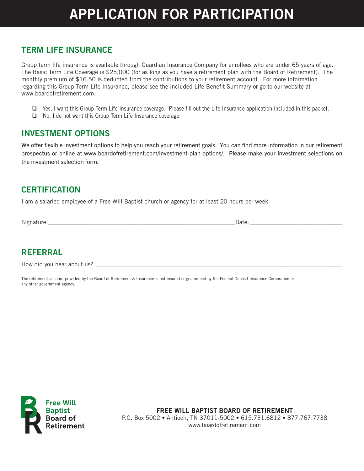# **APPLICATION FOR PARTICIPATION**

## **TERM LIFE INSURANCE**

Group term life insurance is available through Guardian Insurance Company for enrollees who are under 65 years of age. The Basic Term Life Coverage is \$25,000 (for as long as you have a retirement plan with the Board of Retirement). The monthly premium of \$16.50 is deducted from the contributions to your retirement account. For more information regarding this Group Term Life Insurance, please see the included Life Benefit Summary or go to our website at www.boardofretirement.com.

 $\Box$  Yes, I want this Group Term Life Insurance coverage. Please fill out the Life Insurance application included in this packet.

 $\Box$  No, I do not want this Group Term Life Insurance coverage.

### **INVESTMENT** OPTIONS

We offer flexible investment options to help you reach your retirement goals. You can find more information in our retirement prospectus or online at www.boardofretirement.com/investment-plan-options/. Please make your investment selections on the investment selection form.

### **CERTIFICATION**

I am a salaried employee of a Free Will Baptist church or agency for at least 20 hours per week.

Signature: \_\_\_\_\_\_\_\_\_\_\_\_\_\_\_\_\_\_\_\_\_\_\_\_\_\_\_\_\_\_\_\_\_\_\_\_\_\_\_\_\_\_\_\_\_\_\_\_\_\_\_\_\_\_\_\_\_\_\_\_\_\_\_Date: \_\_\_\_\_\_\_\_\_\_\_\_\_\_\_\_\_\_\_\_\_\_\_\_\_\_\_\_\_\_\_

## **REFERRAL**

How did you hear about us? \_\_\_\_\_\_\_\_\_\_\_\_\_\_\_\_\_\_\_\_\_\_\_\_\_\_\_\_\_\_\_\_\_\_\_\_\_\_\_\_\_\_\_\_\_\_\_\_\_\_\_\_\_\_\_\_\_\_\_\_\_\_\_\_\_\_\_\_\_\_\_\_\_\_\_\_\_\_\_\_\_\_\_

The retirement account provided by the Board of Retirement & Insurance is not insured or guaranteed by the Federal Deposit Insurance Corporation or any other government agency.



**FREE WILL BAPTIST BOARD OF RETIREMENT** P.O. Box 5002 • Antioch, TN 37011-5002 • 615.731.6812 • 877.767.7738 www.boardofretirement.com